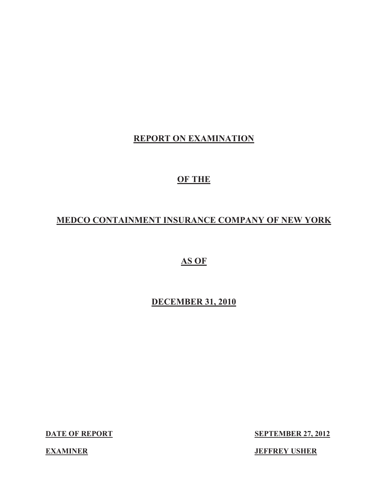# **REPORT ON EXAMINATION**

# **OF THE**

# **MEDCO CONTAINMENT INSURANCE COMPANY OF NEW YORK**

**AS OF** 

**DECEMBER 31, 2010** 

**DATE OF REPORT** 

**SEPTEMBER 27, 2012** 

**JEFFREY USHER** 

**EXAMINER**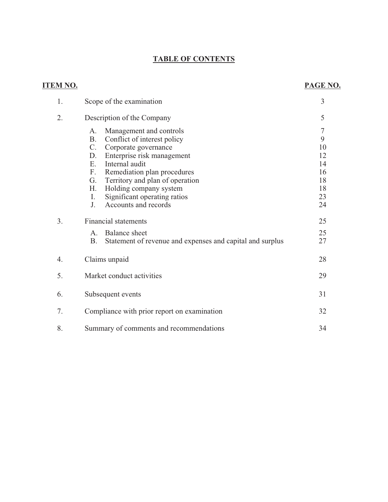# **TABLE OF CONTENTS**

# **ITEM NO.**

# **PAGE NO.**

| 1. | Scope of the examination                                                                                                                                                                                                                                                                                                                                       | $\overline{3}$                                              |
|----|----------------------------------------------------------------------------------------------------------------------------------------------------------------------------------------------------------------------------------------------------------------------------------------------------------------------------------------------------------------|-------------------------------------------------------------|
| 2. | Description of the Company                                                                                                                                                                                                                                                                                                                                     | 5                                                           |
|    | Management and controls<br>A.<br><b>B.</b><br>Conflict of interest policy<br>$C_{\cdot}$<br>Corporate governance<br>Enterprise risk management<br>D.<br>Internal audit<br>E.<br>Remediation plan procedures<br>F.<br>Territory and plan of operation<br>G.<br>Н.<br>Holding company system<br>Significant operating ratios<br>Ι.<br>Accounts and records<br>J. | $\tau$<br>9<br>10<br>12<br>14<br>16<br>18<br>18<br>23<br>24 |
| 3. | <b>Financial statements</b><br>Balance sheet<br>$A_{\cdot}$<br><b>B.</b><br>Statement of revenue and expenses and capital and surplus                                                                                                                                                                                                                          | 25<br>25<br>27                                              |
| 4. | Claims unpaid                                                                                                                                                                                                                                                                                                                                                  | 28                                                          |
| 5. | Market conduct activities                                                                                                                                                                                                                                                                                                                                      | 29                                                          |
| 6. | Subsequent events                                                                                                                                                                                                                                                                                                                                              | 31                                                          |
| 7. | Compliance with prior report on examination                                                                                                                                                                                                                                                                                                                    | 32                                                          |
| 8. | Summary of comments and recommendations                                                                                                                                                                                                                                                                                                                        | 34                                                          |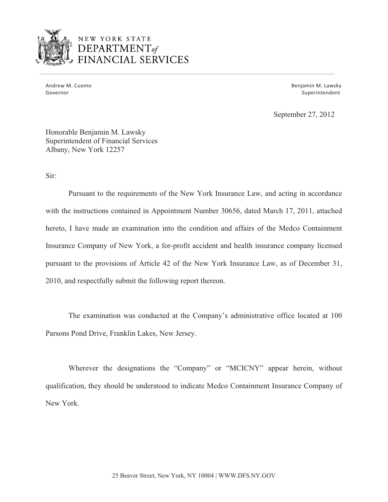

# NEW YORK STATE **DEPARTMENT**of **VANCIAL SERVICES**

Andrew M. Cuomo **Benjamin M. Lawsky** Governor Superintendent and Superintendent Superintendent Superintendent Superintendent

September 27, 2012

Honorable Benjamin M. Lawsky Superintendent of Financial Services Albany, New York 12257

Sir:

Pursuant to the requirements of the New York Insurance Law, and acting in accordance with the instructions contained in Appointment Number 30656, dated March 17, 2011, attached hereto, I have made an examination into the condition and affairs of the Medco Containment Insurance Company of New York, a for-profit accident and health insurance company licensed pursuant to the provisions of Article 42 of the New York Insurance Law, as of December 31, 2010, and respectfully submit the following report thereon.

The examination was conducted at the Company's administrative office located at 100 Parsons Pond Drive, Franklin Lakes, New Jersey.

Wherever the designations the "Company" or "MCICNY" appear herein, without qualification, they should be understood to indicate Medco Containment Insurance Company of New York.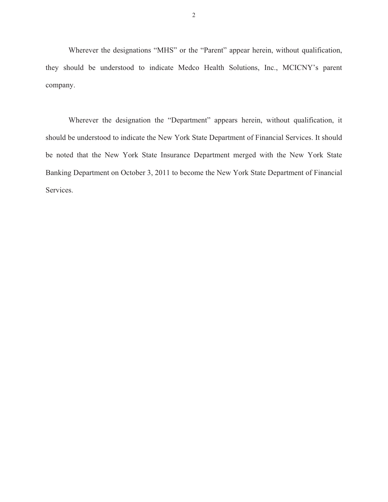Wherever the designations "MHS" or the "Parent" appear herein, without qualification, they should be understood to indicate Medco Health Solutions, Inc., MCICNY's parent company.

Wherever the designation the "Department" appears herein, without qualification, it should be understood to indicate the New York State Department of Financial Services. It should be noted that the New York State Insurance Department merged with the New York State Banking Department on October 3, 2011 to become the New York State Department of Financial Services.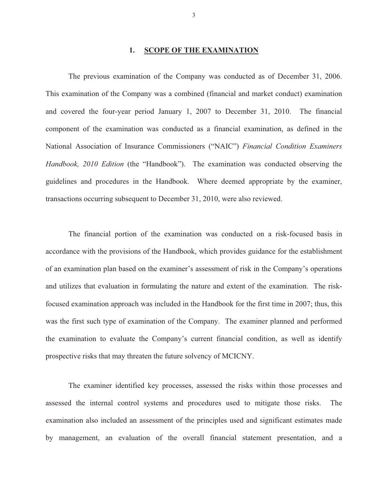#### **1. SCOPE OF THE EXAMINATION**

The previous examination of the Company was conducted as of December 31, 2006. This examination of the Company was a combined (financial and market conduct) examination and covered the four-year period January 1, 2007 to December 31, 2010. The financial component of the examination was conducted as a financial examination, as defined in the National Association of Insurance Commissioners ("NAIC") *Financial Condition Examiners Handbook, 2010 Edition* (the "Handbook"). The examination was conducted observing the guidelines and procedures in the Handbook. Where deemed appropriate by the examiner, transactions occurring subsequent to December 31, 2010, were also reviewed.

The financial portion of the examination was conducted on a risk-focused basis in accordance with the provisions of the Handbook, which provides guidance for the establishment of an examination plan based on the examiner's assessment of risk in the Company's operations and utilizes that evaluation in formulating the nature and extent of the examination. The riskfocused examination approach was included in the Handbook for the first time in 2007; thus, this was the first such type of examination of the Company. The examiner planned and performed the examination to evaluate the Company's current financial condition, as well as identify prospective risks that may threaten the future solvency of MCICNY.

The examiner identified key processes, assessed the risks within those processes and assessed the internal control systems and procedures used to mitigate those risks. The examination also included an assessment of the principles used and significant estimates made by management, an evaluation of the overall financial statement presentation, and a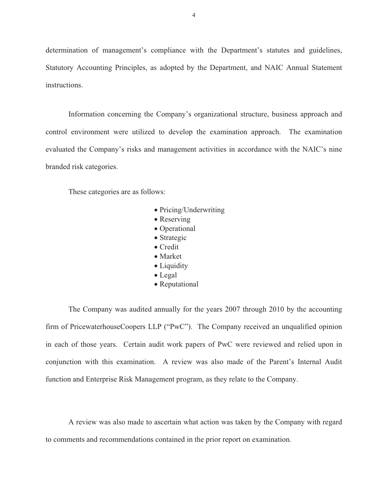determination of management's compliance with the Department's statutes and guidelines, Statutory Accounting Principles, as adopted by the Department, and NAIC Annual Statement instructions.

Information concerning the Company's organizational structure, business approach and control environment were utilized to develop the examination approach. The examination evaluated the Company's risks and management activities in accordance with the NAIC's nine branded risk categories.

These categories are as follows:

- Pricing/Underwriting
- Reserving
- Operational
- Strategic
- Credit
- Market
- Liquidity
- Legal
- Reputational

The Company was audited annually for the years 2007 through 2010 by the accounting firm of PricewaterhouseCoopers LLP ("PwC"). The Company received an unqualified opinion in each of those years. Certain audit work papers of PwC were reviewed and relied upon in conjunction with this examination. A review was also made of the Parent's Internal Audit function and Enterprise Risk Management program, as they relate to the Company.

A review was also made to ascertain what action was taken by the Company with regard to comments and recommendations contained in the prior report on examination.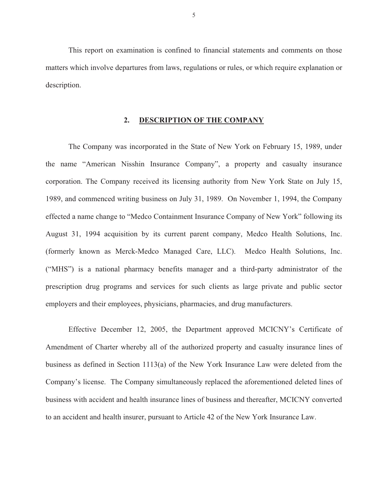<span id="page-6-0"></span>This report on examination is confined to financial statements and comments on those matters which involve departures from laws, regulations or rules, or which require explanation or description.

#### **2. DESCRIPTION OF THE COMPANY**

The Company was incorporated in the State of New York on February 15, 1989, under the name "American Nisshin Insurance Company", a property and casualty insurance corporation. The Company received its licensing authority from New York State on July 15, 1989, and commenced writing business on July 31, 1989. On November 1, 1994, the Company effected a name change to "Medco Containment Insurance Company of New York" following its August 31, 1994 acquisition by its current parent company, Medco Health Solutions, Inc. (formerly known as Merck-Medco Managed Care, LLC). Medco Health Solutions, Inc. ("MHS") is a national pharmacy benefits manager and a third-party administrator of the prescription drug programs and services for such clients as large private and public sector employers and their employees, physicians, pharmacies, and drug manufacturers.

Effective December 12, 2005, the Department approved MCICNY's Certificate of Amendment of Charter whereby all of the authorized property and casualty insurance lines of business as defined in Section 1113(a) of the New York Insurance Law were deleted from the Company's license. The Company simultaneously replaced the aforementioned deleted lines of business with accident and health insurance lines of business and thereafter, MCICNY converted to an accident and health insurer, pursuant to Article 42 of the New York Insurance Law.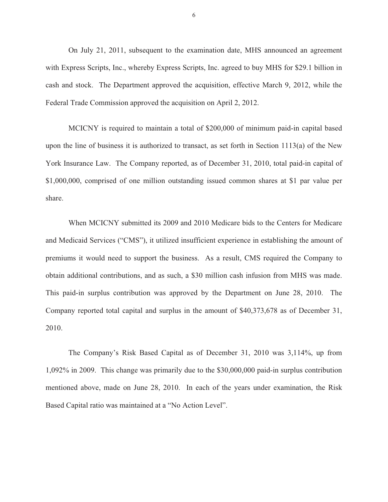On July 21, 2011, subsequent to the examination date, MHS announced an agreement with Express Scripts, Inc., whereby Express Scripts, Inc. agreed to buy MHS for \$29.1 billion in cash and stock. The Department approved the acquisition, effective March 9, 2012, while the Federal Trade Commission approved the acquisition on April 2, 2012.

MCICNY is required to maintain a total of \$200,000 of minimum paid-in capital based upon the line of business it is authorized to transact, as set forth in Section 1113(a) of the New York Insurance Law. The Company reported, as of December 31, 2010, total paid-in capital of \$1,000,000, comprised of one million outstanding issued common shares at \$1 par value per share.

When MCICNY submitted its 2009 and 2010 Medicare bids to the Centers for Medicare and Medicaid Services ("CMS"), it utilized insufficient experience in establishing the amount of premiums it would need to support the business. As a result, CMS required the Company to obtain additional contributions, and as such, a \$30 million cash infusion from MHS was made. This paid-in surplus contribution was approved by the Department on June 28, 2010. The Company reported total capital and surplus in the amount of \$40,373,678 as of December 31, 2010.

The Company's Risk Based Capital as of December 31, 2010 was 3,114%, up from 1,092% in 2009. This change was primarily due to the \$30,000,000 paid-in surplus contribution mentioned above, made on June 28, 2010. In each of the years under examination, the Risk Based Capital ratio was maintained at a "No Action Level".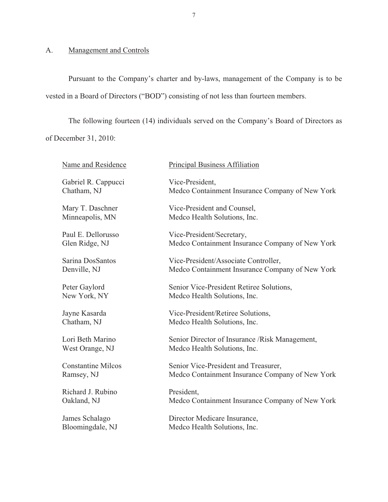# A. Management and Controls

Pursuant to the Company's charter and by-laws, management of the Company is to be vested in a Board of Directors ("BOD") consisting of not less than fourteen members.

The following fourteen (14) individuals served on the Company's Board of Directors as of December 31, 2010:

| Name and Residence        | <b>Principal Business Affiliation</b>           |
|---------------------------|-------------------------------------------------|
| Gabriel R. Cappucci       | Vice-President,                                 |
| Chatham, NJ               | Medco Containment Insurance Company of New York |
| Mary T. Daschner          | Vice-President and Counsel,                     |
| Minneapolis, MN           | Medco Health Solutions, Inc.                    |
| Paul E. Dellorusso        | Vice-President/Secretary,                       |
| Glen Ridge, NJ            | Medco Containment Insurance Company of New York |
| Sarina DosSantos          | Vice-President/Associate Controller,            |
| Denville, NJ              | Medco Containment Insurance Company of New York |
| Peter Gaylord             | Senior Vice-President Retiree Solutions,        |
| New York, NY              | Medco Health Solutions, Inc.                    |
| Jayne Kasarda             | Vice-President/Retiree Solutions,               |
| Chatham, NJ               | Medco Health Solutions, Inc.                    |
| Lori Beth Marino          | Senior Director of Insurance / Risk Management, |
| West Orange, NJ           | Medco Health Solutions, Inc.                    |
| <b>Constantine Milcos</b> | Senior Vice-President and Treasurer,            |
| Ramsey, NJ                | Medco Containment Insurance Company of New York |
| Richard J. Rubino         | President,                                      |
| Oakland, NJ               | Medco Containment Insurance Company of New York |
| James Schalago            | Director Medicare Insurance,                    |
| Bloomingdale, NJ          | Medco Health Solutions, Inc.                    |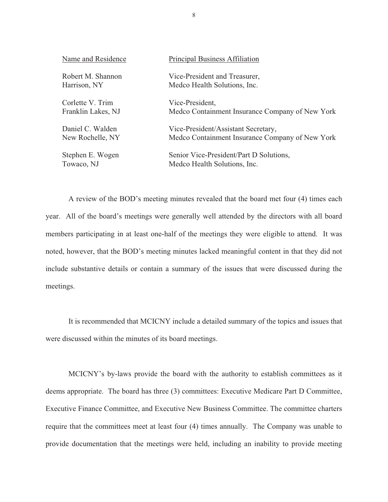| Name and Residence | Principal Business Affiliation                  |
|--------------------|-------------------------------------------------|
| Robert M. Shannon  | Vice-President and Treasurer,                   |
| Harrison, NY       | Medco Health Solutions, Inc.                    |
| Corlette V. Trim   | Vice-President,                                 |
| Franklin Lakes, NJ | Medco Containment Insurance Company of New York |
| Daniel C. Walden   | Vice-President/Assistant Secretary,             |
| New Rochelle, NY   | Medco Containment Insurance Company of New York |
| Stephen E. Wogen   | Senior Vice-President/Part D Solutions,         |
| Towaco, NJ         | Medco Health Solutions, Inc.                    |

A review of the BOD's meeting minutes revealed that the board met four (4) times each year. All of the board's meetings were generally well attended by the directors with all board members participating in at least one-half of the meetings they were eligible to attend. It was noted, however, that the BOD's meeting minutes lacked meaningful content in that they did not include substantive details or contain a summary of the issues that were discussed during the meetings.

It is recommended that MCICNY include a detailed summary of the topics and issues that were discussed within the minutes of its board meetings.

MCICNY's by-laws provide the board with the authority to establish committees as it deems appropriate. The board has three (3) committees: Executive Medicare Part D Committee, Executive Finance Committee, and Executive New Business Committee. The committee charters require that the committees meet at least four (4) times annually. The Company was unable to provide documentation that the meetings were held, including an inability to provide meeting

8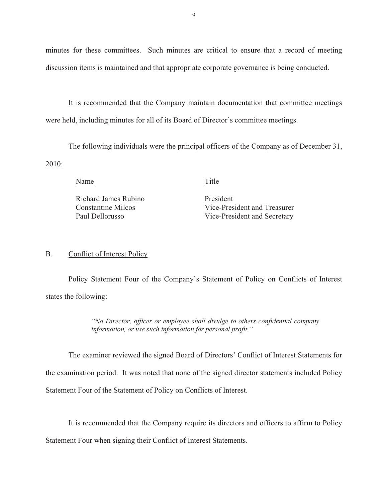minutes for these committees. Such minutes are critical to ensure that a record of meeting discussion items is maintained and that appropriate corporate governance is being conducted.

It is recommended that the Company maintain documentation that committee meetings were held, including minutes for all of its Board of Director's committee meetings.

The following individuals were the principal officers of the Company as of December 31, 2010:

Name Title

Richard James Rubino President

Constantine Milcos Vice-President and Treasurer Paul Dellorusso Vice-President and Secretary

#### B. Conflict of Interest Policy

Policy Statement Four of the Company's Statement of Policy on Conflicts of Interest states the following:

> *"No Director, officer or employee shall divulge to others confidential company information, or use such information for personal profit."*

The examiner reviewed the signed Board of Directors' Conflict of Interest Statements for

the examination period. It was noted that none of the signed director statements included Policy

Statement Four of the Statement of Policy on Conflicts of Interest.

It is recommended that the Company require its directors and officers to affirm to Policy

Statement Four when signing their Conflict of Interest Statements.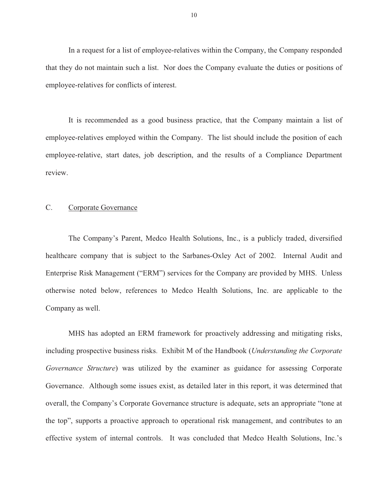<span id="page-11-0"></span>In a request for a list of employee-relatives within the Company, the Company responded that they do not maintain such a list. Nor does the Company evaluate the duties or positions of employee-relatives for conflicts of interest.

It is recommended as a good business practice, that the Company maintain a list of employee-relatives employed within the Company. The list should include the position of each employee-relative, start dates, job description, and the results of a Compliance Department review.

#### C. Corporate Governance

The Company's Parent, Medco Health Solutions, Inc., is a publicly traded, diversified healthcare company that is subject to the Sarbanes-Oxley Act of 2002. Internal Audit and Enterprise Risk Management ("ERM") services for the Company are provided by MHS. Unless otherwise noted below, references to Medco Health Solutions, Inc. are applicable to the Company as well.

MHS has adopted an ERM framework for proactively addressing and mitigating risks, including prospective business risks. Exhibit M of the Handbook (*Understanding the Corporate Governance Structure*) was utilized by the examiner as guidance for assessing Corporate Governance. Although some issues exist, as detailed later in this report, it was determined that overall, the Company's Corporate Governance structure is adequate, sets an appropriate "tone at the top", supports a proactive approach to operational risk management, and contributes to an effective system of internal controls. It was concluded that Medco Health Solutions, Inc.'s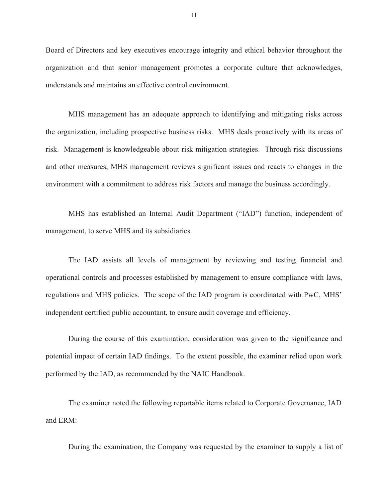Board of Directors and key executives encourage integrity and ethical behavior throughout the organization and that senior management promotes a corporate culture that acknowledges, understands and maintains an effective control environment.

MHS management has an adequate approach to identifying and mitigating risks across the organization, including prospective business risks. MHS deals proactively with its areas of risk. Management is knowledgeable about risk mitigation strategies. Through risk discussions and other measures, MHS management reviews significant issues and reacts to changes in the environment with a commitment to address risk factors and manage the business accordingly.

MHS has established an Internal Audit Department ("IAD") function, independent of management, to serve MHS and its subsidiaries.

The IAD assists all levels of management by reviewing and testing financial and operational controls and processes established by management to ensure compliance with laws, regulations and MHS policies. The scope of the IAD program is coordinated with PwC, MHS' independent certified public accountant, to ensure audit coverage and efficiency.

During the course of this examination, consideration was given to the significance and potential impact of certain IAD findings. To the extent possible, the examiner relied upon work performed by the IAD, as recommended by the NAIC Handbook.

The examiner noted the following reportable items related to Corporate Governance, IAD and ERM:

During the examination, the Company was requested by the examiner to supply a list of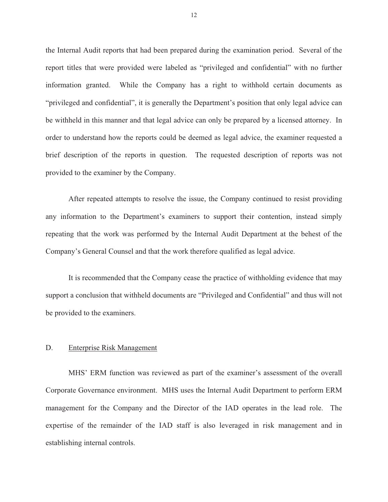<span id="page-13-0"></span>the Internal Audit reports that had been prepared during the examination period. Several of the report titles that were provided were labeled as "privileged and confidential" with no further information granted. While the Company has a right to withhold certain documents as "privileged and confidential", it is generally the Department's position that only legal advice can be withheld in this manner and that legal advice can only be prepared by a licensed attorney. In order to understand how the reports could be deemed as legal advice, the examiner requested a brief description of the reports in question. The requested description of reports was not provided to the examiner by the Company.

After repeated attempts to resolve the issue, the Company continued to resist providing any information to the Department's examiners to support their contention, instead simply repeating that the work was performed by the Internal Audit Department at the behest of the Company's General Counsel and that the work therefore qualified as legal advice.

It is recommended that the Company cease the practice of withholding evidence that may support a conclusion that withheld documents are "Privileged and Confidential" and thus will not be provided to the examiners.

#### D. Enterprise Risk Management

MHS' ERM function was reviewed as part of the examiner's assessment of the overall Corporate Governance environment. MHS uses the Internal Audit Department to perform ERM management for the Company and the Director of the IAD operates in the lead role. The expertise of the remainder of the IAD staff is also leveraged in risk management and in establishing internal controls.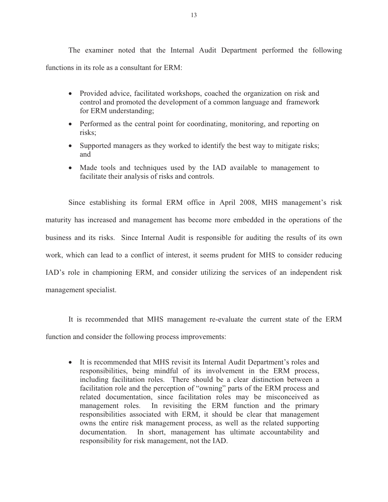The examiner noted that the Internal Audit Department performed the following functions in its role as a consultant for ERM:

- Provided advice, facilitated workshops, coached the organization on risk and control and promoted the development of a common language and framework for ERM understanding;
- Performed as the central point for coordinating, monitoring, and reporting on risks;
- Supported managers as they worked to identify the best way to mitigate risks; and
- Made tools and techniques used by the IAD available to management to facilitate their analysis of risks and controls.

Since establishing its formal ERM office in April 2008, MHS management's risk maturity has increased and management has become more embedded in the operations of the business and its risks. Since Internal Audit is responsible for auditing the results of its own work, which can lead to a conflict of interest, it seems prudent for MHS to consider reducing IAD's role in championing ERM, and consider utilizing the services of an independent risk management specialist.

It is recommended that MHS management re-evaluate the current state of the ERM function and consider the following process improvements:

- It is recommended that MHS revisit its Internal Audit Department's roles and responsibilities, being mindful of its involvement in the ERM process, including facilitation roles. There should be a clear distinction between a facilitation role and the perception of "owning" parts of the ERM process and related documentation, since facilitation roles may be misconceived as management roles. In revisiting the ERM function and the primary responsibilities associated with ERM, it should be clear that management owns the entire risk management process, as well as the related supporting documentation. In short, management has ultimate accountability and responsibility for risk management, not the IAD.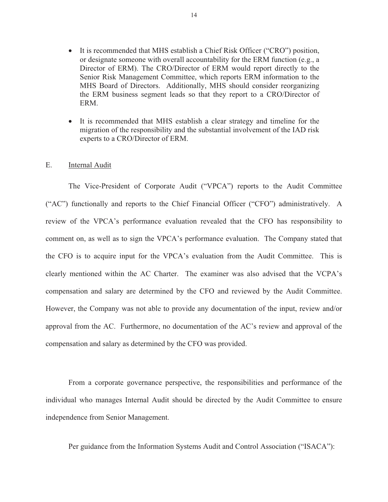- <span id="page-15-0"></span>- It is recommended that MHS establish a Chief Risk Officer ("CRO") position, or designate someone with overall accountability for the ERM function (e.g., a Director of ERM). The CRO/Director of ERM would report directly to the Senior Risk Management Committee, which reports ERM information to the MHS Board of Directors. Additionally, MHS should consider reorganizing the ERM business segment leads so that they report to a CRO/Director of ERM.
- It is recommended that MHS establish a clear strategy and timeline for the migration of the responsibility and the substantial involvement of the IAD risk experts to a CRO/Director of ERM.

#### E. Internal Audit

The Vice-President of Corporate Audit ("VPCA") reports to the Audit Committee ("AC") functionally and reports to the Chief Financial Officer ("CFO") administratively. A review of the VPCA's performance evaluation revealed that the CFO has responsibility to comment on, as well as to sign the VPCA's performance evaluation. The Company stated that the CFO is to acquire input for the VPCA's evaluation from the Audit Committee. This is clearly mentioned within the AC Charter. The examiner was also advised that the VCPA's compensation and salary are determined by the CFO and reviewed by the Audit Committee. However, the Company was not able to provide any documentation of the input, review and/or approval from the AC. Furthermore, no documentation of the AC's review and approval of the compensation and salary as determined by the CFO was provided.

From a corporate governance perspective, the responsibilities and performance of the individual who manages Internal Audit should be directed by the Audit Committee to ensure independence from Senior Management.

Per guidance from the Information Systems Audit and Control Association ("ISACA"):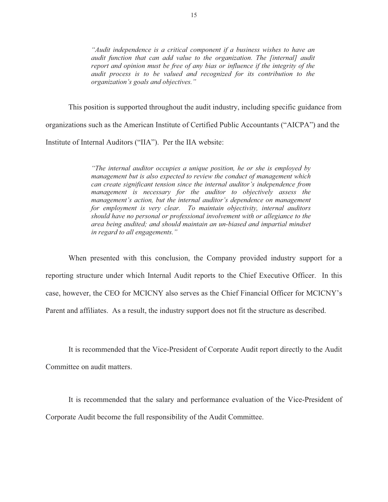audit function that can add value to the organization. The [internal] audit *"Audit independence is a critical component if a business wishes to have an report and opinion must be free of any bias or influence if the integrity of the audit process is to be valued and recognized for its contribution to the organization's goals and objectives."* 

This position is supported throughout the audit industry, including specific guidance from

organizations such as the American Institute of Certified Public Accountants ("AICPA") and the

Institute of Internal Auditors ("IIA"). Per the IIA website:

*"The internal auditor occupies a unique position, he or she is employed by management but is also expected to review the conduct of management which can create significant tension since the internal auditor's independence from management is necessary for the auditor to objectively assess the management's action, but the internal auditor's dependence on management for employment is very clear. To maintain objectivity, internal auditors should have no personal or professional involvement with or allegiance to the area being audited; and should maintain an un-biased and impartial mindset in regard to all engagements."* 

When presented with this conclusion, the Company provided industry support for a reporting structure under which Internal Audit reports to the Chief Executive Officer. In this case, however, the CEO for MCICNY also serves as the Chief Financial Officer for MCICNY's Parent and affiliates. As a result, the industry support does not fit the structure as described.

It is recommended that the Vice-President of Corporate Audit report directly to the Audit Committee on audit matters.

It is recommended that the salary and performance evaluation of the Vice-President of Corporate Audit become the full responsibility of the Audit Committee.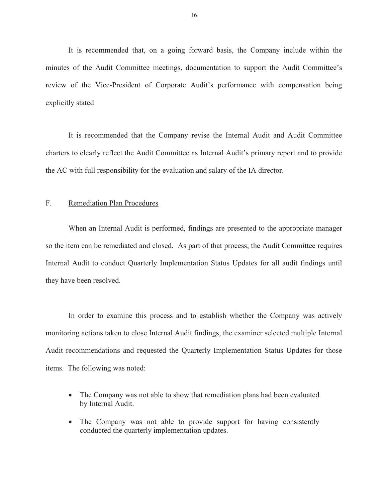<span id="page-17-0"></span>It is recommended that, on a going forward basis, the Company include within the minutes of the Audit Committee meetings, documentation to support the Audit Committee's review of the Vice-President of Corporate Audit's performance with compensation being explicitly stated.

It is recommended that the Company revise the Internal Audit and Audit Committee charters to clearly reflect the Audit Committee as Internal Audit's primary report and to provide the AC with full responsibility for the evaluation and salary of the IA director.

#### F. Remediation Plan Procedures

When an Internal Audit is performed, findings are presented to the appropriate manager so the item can be remediated and closed. As part of that process, the Audit Committee requires Internal Audit to conduct Quarterly Implementation Status Updates for all audit findings until they have been resolved.

In order to examine this process and to establish whether the Company was actively monitoring actions taken to close Internal Audit findings, the examiner selected multiple Internal Audit recommendations and requested the Quarterly Implementation Status Updates for those items. The following was noted:

- The Company was not able to show that remediation plans had been evaluated by Internal Audit.
- The Company was not able to provide support for having consistently conducted the quarterly implementation updates.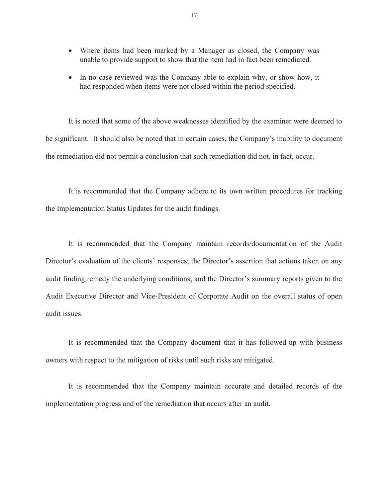- Where items had been marked by a Manager as closed, the Company was unable to provide support to show that the item had in fact been remediated.
- In no case reviewed was the Company able to explain why, or show how, it had responded when items were not closed within the period specified.

It is noted that some of the above weaknesses identified by the examiner were deemed to be significant. It should also be noted that in certain cases, the Company's inability to document the remediation did not permit a conclusion that such remediation did not, in fact, occur.

It is recommended that the Company adhere to its own written procedures for tracking the Implementation Status Updates for the audit findings.

audit issues. It is recommended that the Company maintain records/documentation of the Audit Director's evaluation of the clients' responses; the Director's assertion that actions taken on any audit finding remedy the underlying conditions; and the Director's summary reports given to the Audit Executive Director and Vice-President of Corporate Audit on the overall status of open

It is recommended that the Company document that it has followed-up with business owners with respect to the mitigation of risks until such risks are mitigated.

It is recommended that the Company maintain accurate and detailed records of the implementation progress and of the remediation that occurs after an audit.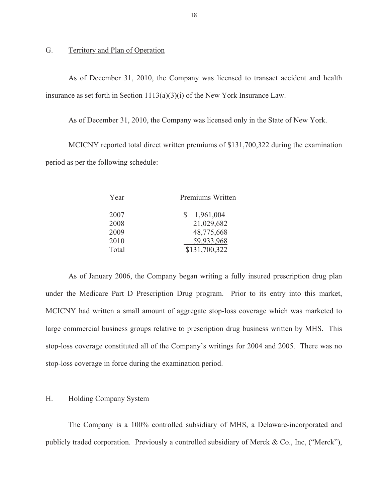#### G. Territory and Plan of Operation

As of December 31, 2010, the Company was licensed to transact accident and health insurance as set forth in Section 1113(a)(3)(i) of the New York Insurance Law.

As of December 31, 2010, the Company was licensed only in the State of New York.

MCICNY reported total direct written premiums of \$131,700,322 during the examination period as per the following schedule:

| Year  | Premiums Written |
|-------|------------------|
| 2007  | 1,961,004<br>S   |
| 2008  | 21,029,682       |
| 2009  | 48,775,668       |
| 2010  | 59,933,968       |
| Total | .700.322         |

As of January 2006, the Company began writing a fully insured prescription drug plan under the Medicare Part D Prescription Drug program. Prior to its entry into this market, MCICNY had written a small amount of aggregate stop-loss coverage which was marketed to large commercial business groups relative to prescription drug business written by MHS. This stop-loss coverage constituted all of the Company's writings for 2004 and 2005. There was no stop-loss coverage in force during the examination period.

### H. Holding Company System

The Company is a 100% controlled subsidiary of MHS, a Delaware-incorporated and publicly traded corporation. Previously a controlled subsidiary of Merck & Co., Inc, ("Merck"),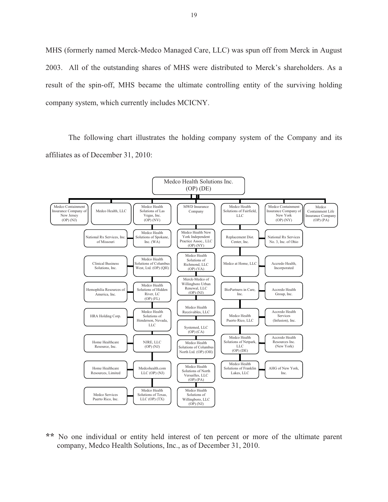MHS (formerly named Merck-Medco Managed Care, LLC) was spun off from Merck in August 2003. All of the outstanding shares of MHS were distributed to Merck's shareholders. As a result of the spin-off, MHS became the ultimate controlling entity of the surviving holding company system, which currently includes MCICNY.

The following chart illustrates the holding company system of the Company and its affiliates as of December 31, 2010:



**\*\*** No one individual or entity held interest of ten percent or more of the ultimate parent company, Medco Health Solutions, Inc., as of December 31, 2010.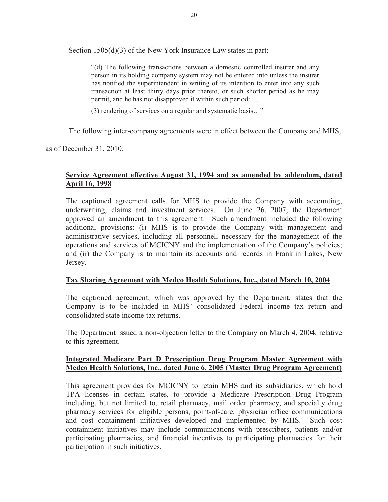Section 1505(d)(3) of the New York Insurance Law states in part:

"(d) The following transactions between a domestic controlled insurer and any person in its holding company system may not be entered into unless the insurer has notified the superintendent in writing of its intention to enter into any such transaction at least thirty days prior thereto, or such shorter period as he may permit, and he has not disapproved it within such period: …

(3) rendering of services on a regular and systematic basis…"

The following inter-company agreements were in effect between the Company and MHS,

as of December 31, 2010:

### **Service Agreement effective August 31, 1994 and as amended by addendum, dated April 16, 1998**

The captioned agreement calls for MHS to provide the Company with accounting, underwriting, claims and investment services. On June 26, 2007, the Department approved an amendment to this agreement. Such amendment included the following additional provisions: (i) MHS is to provide the Company with management and administrative services, including all personnel, necessary for the management of the operations and services of MCICNY and the implementation of the Company's policies; and (ii) the Company is to maintain its accounts and records in Franklin Lakes, New Jersey.

#### **Tax Sharing Agreement with Medco Health Solutions, Inc., dated March 10, 2004**

The captioned agreement, which was approved by the Department, states that the Company is to be included in MHS' consolidated Federal income tax return and consolidated state income tax returns.

The Department issued a non-objection letter to the Company on March 4, 2004, relative to this agreement.

### **Integrated Medicare Part D Prescription Drug Program Master Agreement with Medco Health Solutions, Inc., dated June 6, 2005 (Master Drug Program Agreement)**

This agreement provides for MCICNY to retain MHS and its subsidiaries, which hold TPA licenses in certain states, to provide a Medicare Prescription Drug Program including, but not limited to, retail pharmacy, mail order pharmacy, and specialty drug pharmacy services for eligible persons, point-of-care, physician office communications and cost containment initiatives developed and implemented by MHS. Such cost containment initiatives may include communications with prescribers, patients and/or participating pharmacies, and financial incentives to participating pharmacies for their participation in such initiatives.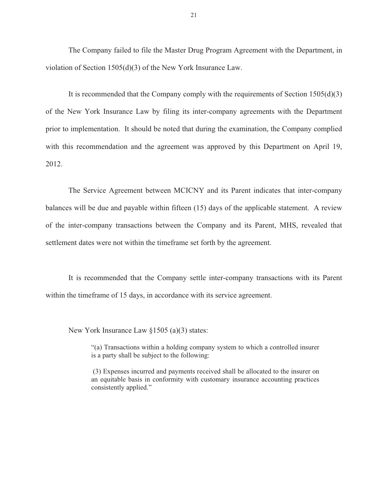The Company failed to file the Master Drug Program Agreement with the Department, in violation of Section 1505(d)(3) of the New York Insurance Law.

It is recommended that the Company comply with the requirements of Section 1505(d)(3) of the New York Insurance Law by filing its inter-company agreements with the Department prior to implementation. It should be noted that during the examination, the Company complied with this recommendation and the agreement was approved by this Department on April 19, 2012.

The Service Agreement between MCICNY and its Parent indicates that inter-company balances will be due and payable within fifteen (15) days of the applicable statement. A review of the inter-company transactions between the Company and its Parent, MHS, revealed that settlement dates were not within the timeframe set forth by the agreement.

It is recommended that the Company settle inter-company transactions with its Parent within the timeframe of 15 days, in accordance with its service agreement.

New York Insurance Law §1505 (a)(3) states:

"(a) Transactions within a holding company system to which a controlled insurer is a party shall be subject to the following:

(3) Expenses incurred and payments received shall be allocated to the insurer on an equitable basis in conformity with customary insurance accounting practices consistently applied."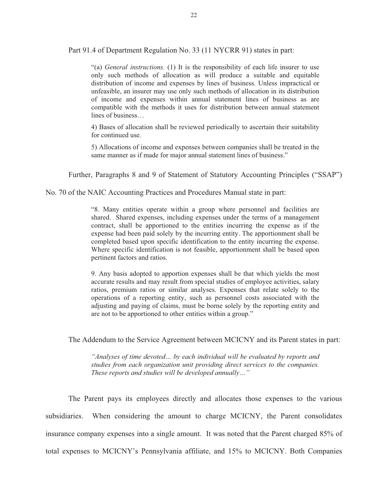Part 91.4 of Department Regulation No. 33 (11 NYCRR 91) states in part:

"(a) *General instructions.* (1) It is the responsibility of each life insurer to use only such methods of allocation as will produce a suitable and equitable distribution of income and expenses by lines of business. Unless impractical or unfeasible, an insurer may use only such methods of allocation in its distribution of income and expenses within annual statement lines of business as are compatible with the methods it uses for distribution between annual statement lines of business…

4) Bases of allocation shall be reviewed periodically to ascertain their suitability for continued use.

5) Allocations of income and expenses between companies shall be treated in the same manner as if made for major annual statement lines of business."

Further, Paragraphs 8 and 9 of Statement of Statutory Accounting Principles ("SSAP")

No. 70 of the NAIC Accounting Practices and Procedures Manual state in part:

completed based upon specific identification to the entity incurring the expense. "8. Many entities operate within a group where personnel and facilities are shared. Shared expenses, including expenses under the terms of a management contract, shall be apportioned to the entities incurring the expense as if the expense had been paid solely by the incurring entity. The apportionment shall be Where specific identification is not feasible, apportionment shall be based upon pertinent factors and ratios.

9. Any basis adopted to apportion expenses shall be that which yields the most accurate results and may result from special studies of employee activities, salary ratios, premium ratios or similar analyses. Expenses that relate solely to the operations of a reporting entity, such as personnel costs associated with the adjusting and paying of claims, must be borne solely by the reporting entity and are not to be apportioned to other entities within a group."

The Addendum to the Service Agreement between MCICNY and its Parent states in part:

*"Analyses of time devoted… by each individual will be evaluated by reports and studies from each organization unit providing direct services to the companies. These reports and studies will be developed annually…"* 

The Parent pays its employees directly and allocates those expenses to the various subsidiaries. When considering the amount to charge MCICNY, the Parent consolidates insurance company expenses into a single amount. It was noted that the Parent charged 85% of total expenses to MCICNY's Pennsylvania affiliate, and 15% to MCICNY. Both Companies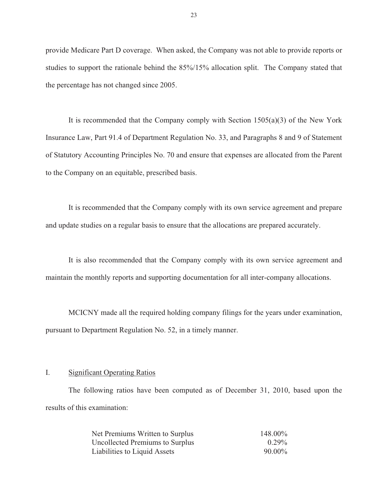<span id="page-24-0"></span>provide Medicare Part D coverage. When asked, the Company was not able to provide reports or studies to support the rationale behind the 85%/15% allocation split. The Company stated that the percentage has not changed since 2005.

It is recommended that the Company comply with Section  $1505(a)(3)$  of the New York Insurance Law, Part 91.4 of Department Regulation No. 33, and Paragraphs 8 and 9 of Statement of Statutory Accounting Principles No. 70 and ensure that expenses are allocated from the Parent to the Company on an equitable, prescribed basis.

It is recommended that the Company comply with its own service agreement and prepare and update studies on a regular basis to ensure that the allocations are prepared accurately.

It is also recommended that the Company comply with its own service agreement and maintain the monthly reports and supporting documentation for all inter-company allocations.

MCICNY made all the required holding company filings for the years under examination, pursuant to Department Regulation No. 52, in a timely manner.

#### I. Significant Operating Ratios

The following ratios have been computed as of December 31, 2010, based upon the results of this examination:

| Net Premiums Written to Surplus | 148.00%   |
|---------------------------------|-----------|
| Uncollected Premiums to Surplus | $0.29\%$  |
| Liabilities to Liquid Assets    | $90.00\%$ |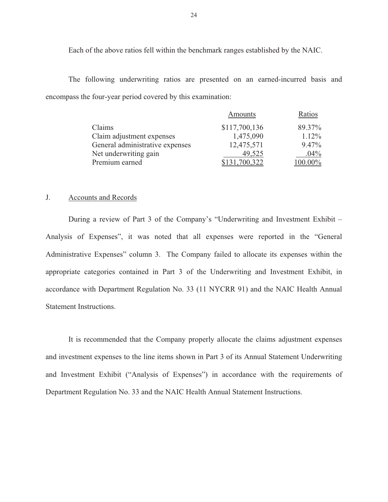Each of the above ratios fell within the benchmark ranges established by the NAIC.

The following underwriting ratios are presented on an earned-incurred basis and encompass the four-year period covered by this examination:

|                                 | Amounts       | Ratios     |
|---------------------------------|---------------|------------|
| Claims                          | \$117,700,136 | 89.37%     |
| Claim adjustment expenses       | 1,475,090     | $1.12\%$   |
| General administrative expenses | 12,475,571    | $9.47\%$   |
| Net underwriting gain           | 49,525        | $.04\%$    |
| Premium earned                  | \$131,700,322 | $100.00\%$ |

#### J. Accounts and Records

During a review of Part 3 of the Company's "Underwriting and Investment Exhibit – Analysis of Expenses", it was noted that all expenses were reported in the "General Administrative Expenses" column 3. The Company failed to allocate its expenses within the appropriate categories contained in Part 3 of the Underwriting and Investment Exhibit, in accordance with Department Regulation No. 33 (11 NYCRR 91) and the NAIC Health Annual Statement Instructions.

It is recommended that the Company properly allocate the claims adjustment expenses and investment expenses to the line items shown in Part 3 of its Annual Statement Underwriting and Investment Exhibit ("Analysis of Expenses") in accordance with the requirements of Department Regulation No. 33 and the NAIC Health Annual Statement Instructions.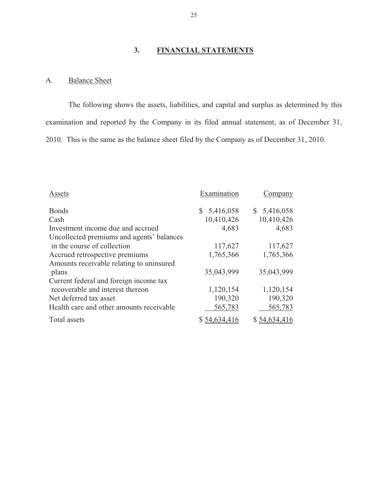# **3. FINANCIAL STATEMENTS**

### A. Balance Sheet

The following shows the assets, liabilities, and capital and surplus as determined by this examination and reported by the Company in its filed annual statement, as of December 31, 2010. This is the same as the balance sheet filed by the Company as of December 31, 2010.

| Assets                                    | Examination  | Company      |  |
|-------------------------------------------|--------------|--------------|--|
| <b>Bonds</b>                              | \$5,416,058  | \$5,416,058  |  |
| Cash                                      | 10,410,426   | 10,410,426   |  |
| Investment income due and accrued         | 4,683        | 4,683        |  |
| Uncollected premiums and agents' balances |              |              |  |
| in the course of collection               | 117,627      | 117,627      |  |
| Accrued retrospective premiums            | 1,765,366    | 1,765,366    |  |
| Amounts receivable relating to uninsured  |              |              |  |
| plans                                     | 35,043,999   | 35,043,999   |  |
| Current federal and foreign income tax    |              |              |  |
| recoverable and interest thereon          | 1,120,154    | 1,120,154    |  |
| Net deferred tax asset                    | 190,320      | 190,320      |  |
| Health care and other amounts receivable  | 565,783      | 565,783      |  |
| <b>Total</b> assets                       | \$54,634,416 | \$54,634,416 |  |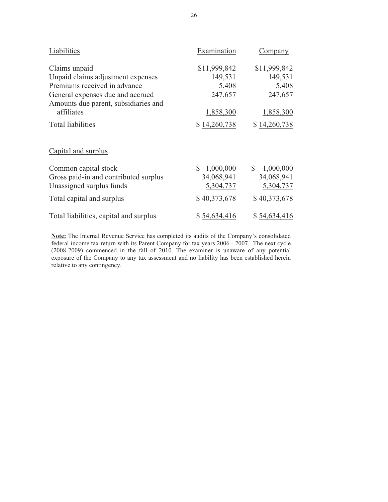| Liabilities                            | Examination               | Company                   |
|----------------------------------------|---------------------------|---------------------------|
| Claims unpaid                          | \$11,999,842              | \$11,999,842              |
| Unpaid claims adjustment expenses      | 149,531                   | 149,531                   |
| Premiums received in advance           | 5,408                     | 5,408                     |
| General expenses due and accrued       | 247,657                   | 247,657                   |
| Amounts due parent, subsidiaries and   |                           |                           |
| affiliates                             | 1,858,300                 | 1,858,300                 |
| <b>Total liabilities</b>               | \$14,260,738              | \$14,260,738              |
| Capital and surplus                    |                           |                           |
| Common capital stock                   | 1,000,000<br>$\mathbb{S}$ | $\mathbb{S}$<br>1,000,000 |
| Gross paid-in and contributed surplus  | 34,068,941                | 34,068,941                |
| Unassigned surplus funds               | 5,304,737                 | 5,304,737                 |
| Total capital and surplus              | \$40,373,678              | \$40,373,678              |
| Total liabilities, capital and surplus | \$54,634,416              | \$54,634,416              |

**Note:** The Internal Revenue Service has completed its audits of the Company's consolidated federal income tax return with its Parent Company for tax years 2006 - 2007. The next cycle (2008-2009) commenced in the fall of 2010. The examiner is unaware of any potential exposure of the Company to any tax assessment and no liability has been established herein relative to any contingency.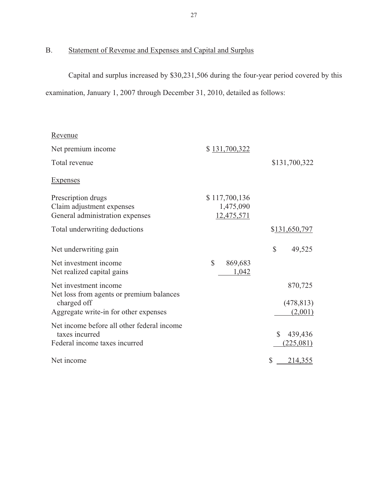# <span id="page-28-0"></span>B. Statement of Revenue and Expenses and Capital and Surplus

Capital and surplus increased by \$30,231,506 during the four-year period covered by this examination, January 1, 2007 through December 31, 2010, detailed as follows:

| Revenue                                                      |                         |                         |
|--------------------------------------------------------------|-------------------------|-------------------------|
| Net premium income                                           | \$131,700,322           |                         |
| Total revenue                                                |                         | \$131,700,322           |
| <b>Expenses</b>                                              |                         |                         |
| Prescription drugs                                           | \$117,700,136           |                         |
| Claim adjustment expenses                                    | 1,475,090               |                         |
| General administration expenses                              | 12,475,571              |                         |
| Total underwriting deductions                                |                         | \$131,650,797           |
| Net underwriting gain                                        |                         | \$<br>49,525            |
| Net investment income                                        | $\mathbb{S}$<br>869,683 |                         |
| Net realized capital gains                                   | 1,042                   |                         |
| Net investment income                                        |                         | 870,725                 |
| Net loss from agents or premium balances                     |                         |                         |
| charged off                                                  |                         | (478, 813)              |
| Aggregate write-in for other expenses                        |                         | (2,001)                 |
| Net income before all other federal income<br>taxes incurred |                         | $\mathbb{S}$<br>439,436 |
| Federal income taxes incurred                                |                         | (225,081)               |
|                                                              |                         |                         |
| Net income                                                   |                         | \$<br>214,355           |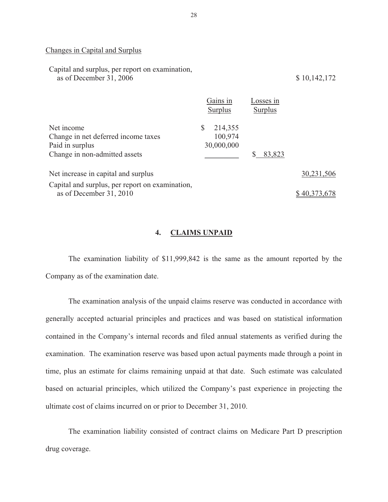#### Changes in Capital and Surplus

| Capital and surplus, per report on examination,<br>as of December 31, 2006                            |                                        |                      | \$10,142,172 |
|-------------------------------------------------------------------------------------------------------|----------------------------------------|----------------------|--------------|
|                                                                                                       | Gains in<br>Surplus                    | Losses in<br>Surplus |              |
| Net income<br>Change in net deferred income taxes<br>Paid in surplus<br>Change in non-admitted assets | 214,355<br>S.<br>100,974<br>30,000,000 | 83,823               |              |

| Net increase in capital and surplus             | 30,231,506   |
|-------------------------------------------------|--------------|
| Capital and surplus, per report on examination, |              |
| as of December $31, 2010$                       | \$40,373,678 |

#### **4. CLAIMS UNPAID**

The examination liability of \$11,999,842 is the same as the amount reported by the Company as of the examination date.

The examination analysis of the unpaid claims reserve was conducted in accordance with generally accepted actuarial principles and practices and was based on statistical information contained in the Company's internal records and filed annual statements as verified during the examination. The examination reserve was based upon actual payments made through a point in time, plus an estimate for claims remaining unpaid at that date. Such estimate was calculated based on actuarial principles, which utilized the Company's past experience in projecting the ultimate cost of claims incurred on or prior to December 31, 2010.

The examination liability consisted of contract claims on Medicare Part D prescription drug coverage.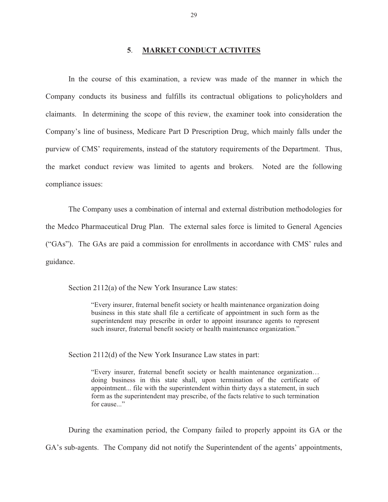#### **5**. **MARKET CONDUCT ACTIVITES**

<span id="page-30-0"></span>In the course of this examination, a review was made of the manner in which the Company conducts its business and fulfills its contractual obligations to policyholders and claimants. In determining the scope of this review, the examiner took into consideration the Company's line of business, Medicare Part D Prescription Drug, which mainly falls under the purview of CMS' requirements, instead of the statutory requirements of the Department. Thus, the market conduct review was limited to agents and brokers. Noted are the following compliance issues:

The Company uses a combination of internal and external distribution methodologies for the Medco Pharmaceutical Drug Plan. The external sales force is limited to General Agencies ("GAs"). The GAs are paid a commission for enrollments in accordance with CMS' rules and guidance.

Section 2112(a) of the New York Insurance Law states:

"Every insurer, fraternal benefit society or health maintenance organization doing business in this state shall file a certificate of appointment in such form as the superintendent may prescribe in order to appoint insurance agents to represent such insurer, fraternal benefit society or health maintenance organization."

Section 2112(d) of the New York Insurance Law states in part:

"Every insurer, fraternal benefit society or health maintenance organization… doing business in this state shall, upon termination of the certificate of appointment... file with the superintendent within thirty days a statement, in such form as the superintendent may prescribe, of the facts relative to such termination for cause..."

During the examination period, the Company failed to properly appoint its GA or the GA's sub-agents. The Company did not notify the Superintendent of the agents' appointments,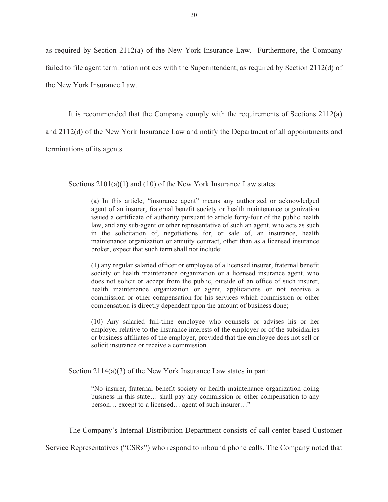as required by Section 2112(a) of the New York Insurance Law. Furthermore, the Company failed to file agent termination notices with the Superintendent, as required by Section 2112(d) of the New York Insurance Law.

It is recommended that the Company comply with the requirements of Sections 2112(a) and 2112(d) of the New York Insurance Law and notify the Department of all appointments and terminations of its agents.

Sections  $2101(a)(1)$  and (10) of the New York Insurance Law states:

(a) In this article, "insurance agent" means any authorized or acknowledged agent of an insurer, fraternal benefit society or health maintenance organization issued a certificate of authority pursuant to article forty-four of the public health law, and any sub-agent or other representative of such an agent, who acts as such in the solicitation of, negotiations for, or sale of, an insurance, health maintenance organization or annuity contract, other than as a licensed insurance broker, expect that such term shall not include:

(1) any regular salaried officer or employee of a licensed insurer, fraternal benefit society or health maintenance organization or a licensed insurance agent, who does not solicit or accept from the public, outside of an office of such insurer, health maintenance organization or agent, applications or not receive a commission or other compensation for his services which commission or other compensation is directly dependent upon the amount of business done;

(10) Any salaried full-time employee who counsels or advises his or her employer relative to the insurance interests of the employer or of the subsidiaries or business affiliates of the employer, provided that the employee does not sell or solicit insurance or receive a commission.

Section 2114(a)(3) of the New York Insurance Law states in part:

"No insurer, fraternal benefit society or health maintenance organization doing business in this state… shall pay any commission or other compensation to any person… except to a licensed… agent of such insurer…"

The Company's Internal Distribution Department consists of call center-based Customer

Service Representatives ("CSRs") who respond to inbound phone calls. The Company noted that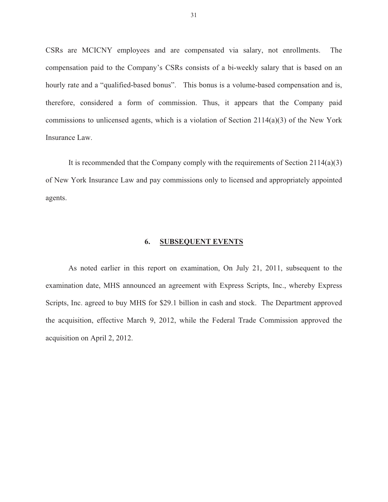<span id="page-32-0"></span>CSRs are MCICNY employees and are compensated via salary, not enrollments. The compensation paid to the Company's CSRs consists of a bi-weekly salary that is based on an hourly rate and a "qualified-based bonus". This bonus is a volume-based compensation and is, therefore, considered a form of commission. Thus, it appears that the Company paid commissions to unlicensed agents, which is a violation of Section  $2114(a)(3)$  of the New York Insurance Law.

It is recommended that the Company comply with the requirements of Section 2114(a)(3) of New York Insurance Law and pay commissions only to licensed and appropriately appointed agents.

#### **6. SUBSEQUENT EVENTS**

As noted earlier in this report on examination, On July 21, 2011, subsequent to the examination date, MHS announced an agreement with Express Scripts, Inc., whereby Express Scripts, Inc. agreed to buy MHS for \$29.1 billion in cash and stock. The Department approved the acquisition, effective March 9, 2012, while the Federal Trade Commission approved the acquisition on April 2, 2012.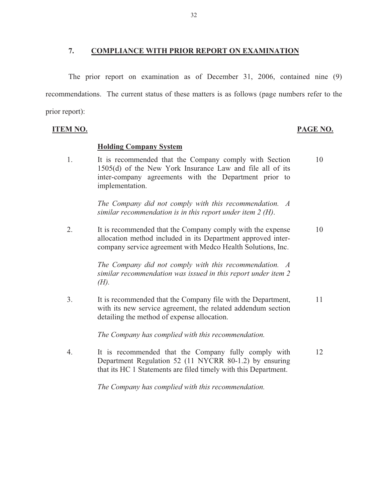#### <span id="page-33-0"></span>**7. COMPLIANCE WITH PRIOR REPORT ON EXAMINATION**

The prior report on examination as of December 31, 2006, contained nine (9) recommendations. The current status of these matters is as follows (page numbers refer to the prior report):

**ITEM NO.** 

#### **Holding Company System**

1. It is recommended that the Company comply with Section 10 1505(d) of the New York Insurance Law and file all of its inter-company agreements with the Department prior to implementation.

> *The Company did not comply with this recommendation. A similar recommendation is in this report under item 2 (H)*.

2. It is recommended that the Company comply with the expense 10 allocation method included in its Department approved intercompany service agreement with Medco Health Solutions, Inc.

> *The Company did not comply with this recommendation. A similar recommendation was issued in this report under item 2 (H).*

3. It is recommended that the Company file with the Department, 11 with its new service agreement, the related addendum section detailing the method of expense allocation.

*The Company has complied with this recommendation.* 

4. It is recommended that the Company fully comply with 12 Department Regulation 52 (11 NYCRR 80-1.2) by ensuring that its HC 1 Statements are filed timely with this Department.

*The Company has complied with this recommendation.* 

#### PAGE NO.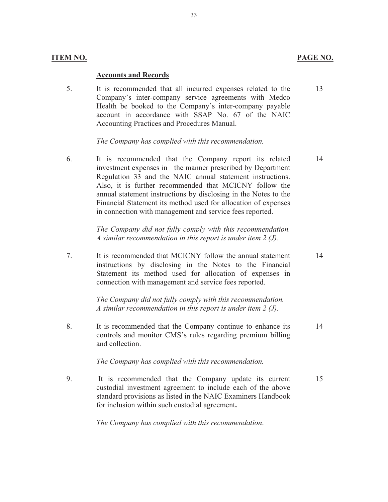### **ITEM NO.**

#### **Accounts and Records**

5. It is recommended that all incurred expenses related to the 13 Company's inter-company service agreements with Medco Health be booked to the Company's inter-company payable account in accordance with SSAP No. 67 of the NAIC Accounting Practices and Procedures Manual.

*The Company has complied with this recommendation.* 

6. It is recommended that the Company report its related 14 investment expenses in the manner prescribed by Department Regulation 33 and the NAIC annual statement instructions. Also, it is further recommended that MCICNY follow the annual statement instructions by disclosing in the Notes to the Financial Statement its method used for allocation of expenses in connection with management and service fees reported.

 *The Company did not fully comply with this recommendation. A similar recommendation in this report is under item 2 (J).* 

7. It is recommended that MCICNY follow the annual statement 14 instructions by disclosing in the Notes to the Financial Statement its method used for allocation of expenses in connection with management and service fees reported.

> *The Company did not fully comply with this recommendation. A similar recommendation in this report is under item 2 (J).*

8. It is recommended that the Company continue to enhance its 14 controls and monitor CMS's rules regarding premium billing and collection.

#### *The Company has complied with this recommendation.*

9. It is recommended that the Company update its current 15 custodial investment agreement to include each of the above standard provisions as listed in the NAIC Examiners Handbook for inclusion within such custodial agreement**.** 

*The Company has complied with this recommendation*.

33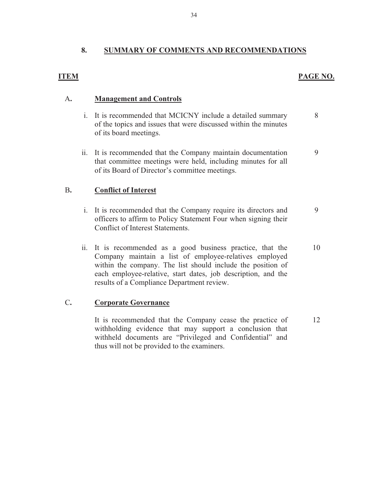### **8. SUMMARY OF COMMENTS AND RECOMMENDATIONS**

### **ITEM**

### **PAGE NO.**

8

#### A**. Management and Controls**

- i. It is recommended that MCICNY include a detailed summary of the topics and issues that were discussed within the minutes of its board meetings.
- ii. It is recommended that the Company maintain documentation that committee meetings were held, including minutes for all of its Board of Director's committee meetings. 9

#### B**. Conflict of Interest**

- i. It is recommended that the Company require its directors and officers to affirm to Policy Statement Four when signing their Conflict of Interest Statements. 9
- ii. It is recommended as a good business practice, that the Company maintain a list of employee-relatives employed within the company. The list should include the position of each employee-relative, start dates, job description, and the results of a Compliance Department review. 10

#### C**. Corporate Governance**

It is recommended that the Company cease the practice of withholding evidence that may support a conclusion that withheld documents are "Privileged and Confidential" and thus will not be provided to the examiners.

12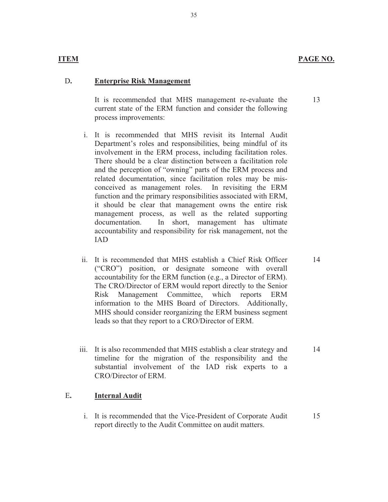13

14

#### **ITEM**

#### D**. Enterprise Risk Management**

It is recommended that MHS management re-evaluate the current state of the ERM function and consider the following process improvements:

- i. It is recommended that MHS revisit its Internal Audit Department's roles and responsibilities, being mindful of its involvement in the ERM process, including facilitation roles. There should be a clear distinction between a facilitation role and the perception of "owning" parts of the ERM process and related documentation, since facilitation roles may be misconceived as management roles. In revisiting the ERM function and the primary responsibilities associated with ERM, it should be clear that management owns the entire risk management process, as well as the related supporting documentation. In short, management has ultimate accountability and responsibility for risk management, not the IAD
- ii. It is recommended that MHS establish a Chief Risk Officer ("CRO") position, or designate someone with overall accountability for the ERM function (e.g., a Director of ERM). The CRO/Director of ERM would report directly to the Senior Risk Management Committee, which reports ERM information to the MHS Board of Directors. Additionally, MHS should consider reorganizing the ERM business segment leads so that they report to a CRO/Director of ERM.
- iii. It is also recommended that MHS establish a clear strategy and timeline for the migration of the responsibility and the substantial involvement of the IAD risk experts to a CRO/Director of ERM. 14

#### E**. Internal Audit**

i. It is recommended that the Vice-President of Corporate Audit report directly to the Audit Committee on audit matters. 15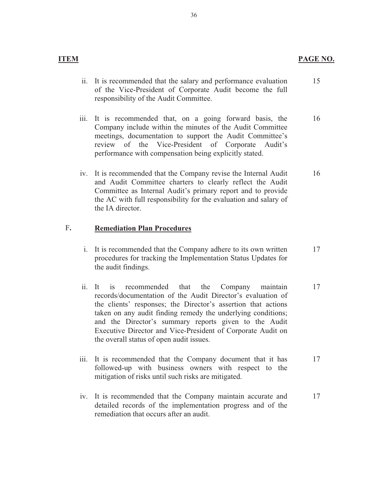- **ITEM**
- ii. It is recommended that the salary and performance evaluation of the Vice-President of Corporate Audit become the full responsibility of the Audit Committee. 15
- iii. It is recommended that, on a going forward basis, the Company include within the minutes of the Audit Committee meetings, documentation to support the Audit Committee's review of the Vice-President of Corporate Audit's performance with compensation being explicitly stated. 16
- iv. It is recommended that the Company revise the Internal Audit and Audit Committee charters to clearly reflect the Audit Committee as Internal Audit's primary report and to provide the AC with full responsibility for the evaluation and salary of the IA director. 16

### F**. Remediation Plan Procedures**

- i. It is recommended that the Company adhere to its own written procedures for tracking the Implementation Status Updates for the audit findings. 17
- ii. It is recommended that the Company maintain records/documentation of the Audit Director's evaluation of the clients' responses; the Director's assertion that actions taken on any audit finding remedy the underlying conditions; and the Director's summary reports given to the Audit Executive Director and Vice-President of Corporate Audit on the overall status of open audit issues. 17
- iii. It is recommended that the Company document that it has followed-up with business owners with respect to the mitigation of risks until such risks are mitigated. 17
- iv. It is recommended that the Company maintain accurate and detailed records of the implementation progress and of the remediation that occurs after an audit. 17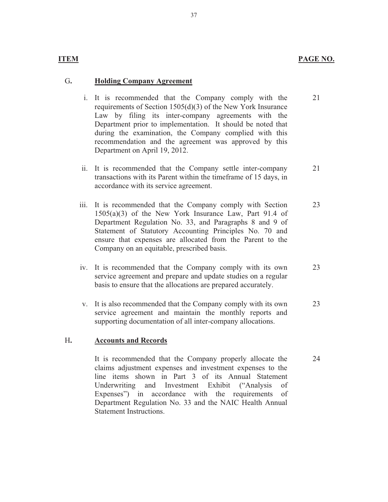#### PAGE NO.

21

24

#### **ITEM**

#### G**. Holding Company Agreement**

- i. It is recommended that the Company comply with the requirements of Section 1505(d)(3) of the New York Insurance Law by filing its inter-company agreements with the Department prior to implementation. It should be noted that during the examination, the Company complied with this recommendation and the agreement was approved by this Department on April 19, 2012.
- ii. It is recommended that the Company settle inter-company transactions with its Parent within the timeframe of 15 days, in accordance with its service agreement. 21
- iii. It is recommended that the Company comply with Section 1505(a)(3) of the New York Insurance Law, Part 91.4 of Department Regulation No. 33, and Paragraphs 8 and 9 of Statement of Statutory Accounting Principles No. 70 and ensure that expenses are allocated from the Parent to the Company on an equitable, prescribed basis. 23
- iv. It is recommended that the Company comply with its own service agreement and prepare and update studies on a regular basis to ensure that the allocations are prepared accurately. 23
- v. It is also recommended that the Company comply with its own service agreement and maintain the monthly reports and supporting documentation of all inter-company allocations. 23

#### H**. Accounts and Records**

It is recommended that the Company properly allocate the claims adjustment expenses and investment expenses to the line items shown in Part 3 of its Annual Statement Underwriting and Investment Exhibit ("Analysis of Expenses") in accordance with the requirements of Department Regulation No. 33 and the NAIC Health Annual Statement Instructions.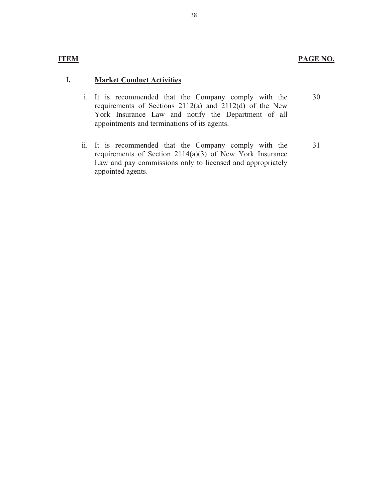### **ITEM**

#### I**. Market Conduct Activities**

- i. It is recommended that the Company comply with the requirements of Sections 2112(a) and 2112(d) of the New York Insurance Law and notify the Department of all appointments and terminations of its agents. 30
- ii. It is recommended that the Company comply with the requirements of Section 2114(a)(3) of New York Insurance Law and pay commissions only to licensed and appropriately appointed agents.